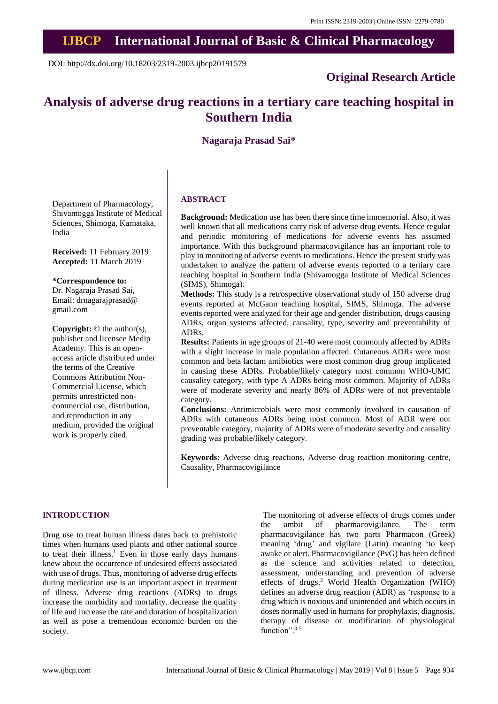# **IJBCP International Journal of Basic & Clinical Pharmacology**

DOI: http://dx.doi.org/10.18203/2319-2003.ijbcp20191579

# **Original Research Article**

# **Analysis of adverse drug reactions in a tertiary care teaching hospital in Southern India**

# **Nagaraja Prasad Sai\***

Department of Pharmacology, Shivamogga Institute of Medical Sciences, Shimoga, Karnataka, India

**Received:** 11 February 2019 **Accepted:** 11 March 2019

#### **\*Correspondence to:**

Dr. Nagaraja Prasad Sai, Email: drnagarajprasad@ gmail.com

**Copyright:** © the author(s), publisher and licensee Medip Academy. This is an openaccess article distributed under the terms of the Creative Commons Attribution Non-Commercial License, which permits unrestricted noncommercial use, distribution, and reproduction in any medium, provided the original work is properly cited.

#### **ABSTRACT**

**Background:** Medication use has been there since time immemorial. Also, it was well known that all medications carry risk of adverse drug events. Hence regular and periodic monitoring of medications for adverse events has assumed importance. With this background pharmacovigilance has an important role to play in monitoring of adverse events to medications. Hence the present study was undertaken to analyze the pattern of adverse events reported to a tertiary care teaching hospital in Southern India (Shivamogga Institute of Medical Sciences (SIMS), Shimoga).

**Methods:** This study is a retrospective observational study of 150 adverse drug events reported at McGann teaching hospital, SIMS, Shimoga. The adverse events reported were analyzed for their age and gender distribution, drugs causing ADRs, organ systems affected, causality, type, severity and preventability of ADRs.

**Results:** Patients in age groups of 21-40 were most commonly affected by ADRs with a slight increase in male population affected. Cutaneous ADRs were most common and beta lactam antibiotics were most common drug group implicated in causing these ADRs. Probable/likely category most common WHO-UMC causality category, with type A ADRs being most common. Majority of ADRs were of moderate severity and nearly 86% of ADRs were of not preventable category.

**Conclusions:** Antimicrobials were most commonly involved in causation of ADRs with cutaneous ADRs being most common. Most of ADR were not preventable category, majority of ADRs were of moderate severity and causality grading was probable/likely category.

**Keywords:** Adverse drug reactions, Adverse drug reaction monitoring centre, Causality, Pharmacovigilance

#### **INTRODUCTION**

Drug use to treat human illness dates back to prehistoric times when humans used plants and other national source to treat their illness. <sup>1</sup> Even in those early days humans knew about the occurrence of undesired effects associated with use of drugs. Thus, monitoring of adverse drug effects during medication use is an important aspect in treatment of illness. Adverse drug reactions (ADRs) to drugs increase the morbidity and mortality, decrease the quality of life and increase the rate and duration of hospitalization as well as pose a tremendous economic burden on the society.

The monitoring of adverse effects of drugs comes under the ambit of pharmacovigilance. The term pharmacovigilance has two parts Pharmacon (Greek) meaning 'drug' and vigilare (Latin) meaning 'to keep awake or alert. Pharmacovigilance (PvG) has been defined as the science and activities related to detection, assessment, understanding and prevention of adverse effects of drugs. <sup>2</sup> World Health Organization (WHO) defines an adverse drug reaction (ADR) as 'response to a drug which is noxious and unintended and which occurs in doses normally used in humans for prophylaxis, diagnosis, therapy of disease or modification of physiological function".<sup>3-5</sup>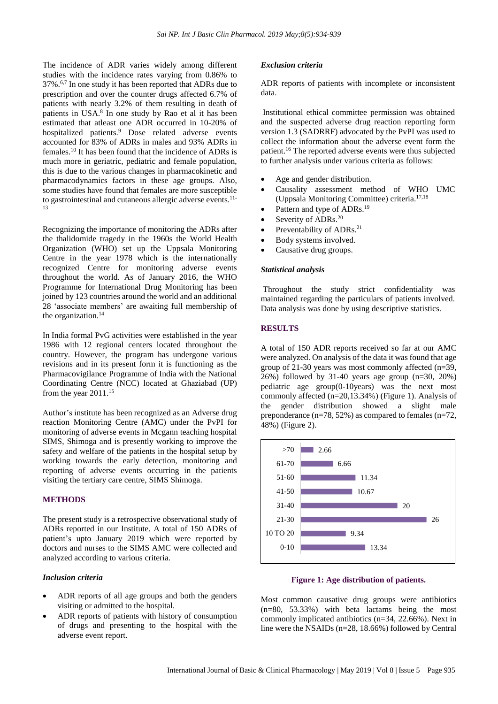The incidence of ADR varies widely among different studies with the incidence rates varying from 0.86% to 37%. 6,7 In one study it has been reported that ADRs due to prescription and over the counter drugs affected 6.7% of patients with nearly 3.2% of them resulting in death of patients in USA. 8 In one study by Rao et al it has been estimated that atleast one ADR occurred in 10-20% of hospitalized patients. <sup>9</sup> Dose related adverse events accounted for 83% of ADRs in males and 93% ADRs in females. <sup>10</sup> It has been found that the incidence of ADRs is much more in geriatric, pediatric and female population, this is due to the various changes in pharmacokinetic and pharmacodynamics factors in these age groups. Also, some studies have found that females are more susceptible to gastrointestinal and cutaneous allergic adverse events. 11- 13

Recognizing the importance of monitoring the ADRs after the thalidomide tragedy in the 1960s the World Health Organization (WHO) set up the Uppsala Monitoring Centre in the year 1978 which is the internationally recognized Centre for monitoring adverse events throughout the world. As of January 2016, the WHO Programme for International Drug Monitoring has been joined by 123 countries around the world and an additional 28 'associate members' are awaiting full membership of the organization. 14

In India formal PvG activities were established in the year 1986 with 12 regional centers located throughout the country. However, the program has undergone various revisions and in its present form it is functioning as the Pharmacovigilance Programme of India with the National Coordinating Centre (NCC) located at Ghaziabad (UP) from the year 2011.<sup>15</sup>

Author's institute has been recognized as an Adverse drug reaction Monitoring Centre (AMC) under the PvPI for monitoring of adverse events in Mcgann teaching hospital SIMS, Shimoga and is presently working to improve the safety and welfare of the patients in the hospital setup by working towards the early detection, monitoring and reporting of adverse events occurring in the patients visiting the tertiary care centre, SIMS Shimoga.

# **METHODS**

The present study is a retrospective observational study of ADRs reported in our Institute. A total of 150 ADRs of patient's upto January 2019 which were reported by doctors and nurses to the SIMS AMC were collected and analyzed according to various criteria.

#### *Inclusion criteria*

- ADR reports of all age groups and both the genders visiting or admitted to the hospital.
- ADR reports of patients with history of consumption of drugs and presenting to the hospital with the adverse event report.

#### *Exclusion criteria*

ADR reports of patients with incomplete or inconsistent data.

Institutional ethical committee permission was obtained and the suspected adverse drug reaction reporting form version 1.3 (SADRRF) advocated by the PvPI was used to collect the information about the adverse event form the patient.<sup>16</sup> The reported adverse events were thus subjected to further analysis under various criteria as follows:

- Age and gender distribution.
- Causality assessment method of WHO UMC (Uppsala Monitoring Committee) criteria. 17,18
- Pattern and type of ADRs.<sup>19</sup>
- Severity of ADRs. $20$
- Preventability of ADRs.<sup>21</sup>
- Body systems involved.
- Causative drug groups.

# *Statistical analysis*

Throughout the study strict confidentiality was maintained regarding the particulars of patients involved. Data analysis was done by using descriptive statistics.

### **RESULTS**

A total of 150 ADR reports received so far at our AMC were analyzed. On analysis of the data it was found that age group of 21-30 years was most commonly affected (n=39, 26%) followed by 31-40 years age group (n=30, 20%) pediatric age group(0-10years) was the next most commonly affected (n=20,13.34%) (Figure 1). Analysis of the gender distribution showed a slight male preponderance (n=78, 52%) as compared to females (n=72, 48%) (Figure 2).





Most common causative drug groups were antibiotics (n=80, 53.33%) with beta lactams being the most commonly implicated antibiotics (n=34, 22.66%). Next in line were the NSAIDs (n=28, 18.66%) followed by Central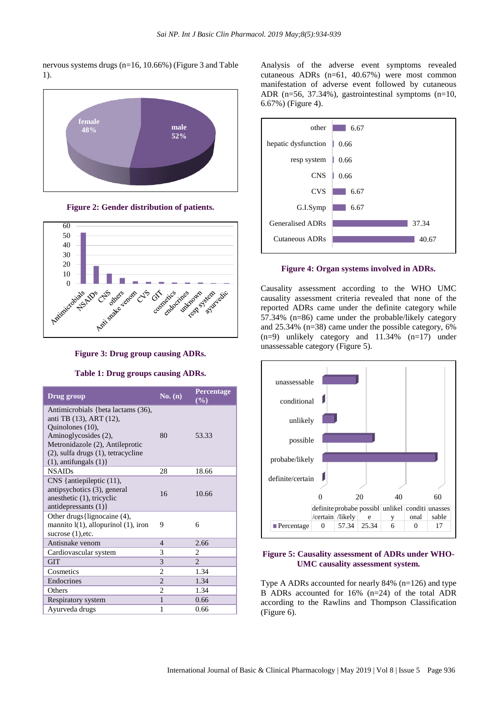nervous systems drugs (n=16, 10.66%) (Figure 3 and Table 1).



**Figure 2: Gender distribution of patients.**



**Figure 3: Drug group causing ADRs.**

### **Table 1: Drug groups causing ADRs.**

| Drug group                                                                                                                                                                                                              | No. (n)        | <b>Percentage</b><br>$(\%)$ |
|-------------------------------------------------------------------------------------------------------------------------------------------------------------------------------------------------------------------------|----------------|-----------------------------|
| Antimicrobials {beta lactams (36),<br>anti TB (13), ART (12),<br>Quinolones (10),<br>Aminoglycosides (2),<br>Metronidazole (2), Antileprotic<br>$(2)$ , sulfa drugs $(1)$ , tetracycline<br>$(1)$ , antifungals $(1)$ } | 80             | 53.33                       |
| <b>NSAIDs</b>                                                                                                                                                                                                           | 28             | 18.66                       |
| $CNS$ {antiepileptic $(11)$ ,<br>antipsychotics (3), general<br>anesthetic (1), tricyclic<br>antidepressants $(1)$ }                                                                                                    | 16             | 10.66                       |
| Other drugs {lignocaine (4),<br>mannito $l(1)$ , allopurinol $(1)$ , iron<br>sucrose $(1)$ , etc.                                                                                                                       | 9              | 6                           |
| Antisnake venom                                                                                                                                                                                                         | 4              | 2.66                        |
| Cardiovascular system                                                                                                                                                                                                   | 3              | 2                           |
| <b>GIT</b>                                                                                                                                                                                                              | 3              | $\mathfrak{D}$              |
| Cosmetics                                                                                                                                                                                                               | $\overline{c}$ | 1.34                        |
| Endocrines                                                                                                                                                                                                              | $\overline{2}$ | 1.34                        |
| Others                                                                                                                                                                                                                  | $\overline{2}$ | 1.34                        |
| Respiratory system                                                                                                                                                                                                      | $\mathbf{1}$   | 0.66                        |
| Ayurveda drugs                                                                                                                                                                                                          | 1              | 0.66                        |

Analysis of the adverse event symptoms revealed cutaneous ADRs (n=61, 40.67%) were most common manifestation of adverse event followed by cutaneous ADR (n=56, 37.34%), gastrointestinal symptoms (n=10, 6.67%) (Figure 4).



**Figure 4: Organ systems involved in ADRs.**

Causality assessment according to the WHO UMC causality assessment criteria revealed that none of the reported ADRs came under the definite category while 57.34% (n=86) came under the probable/likely category and 25.34% (n=38) came under the possible category, 6%  $(n=9)$  unlikely category and 11.34%  $(n=17)$  under unassessable category (Figure 5).



# **Figure 5: Causality assessment of ADRs under WHO-UMC causality assessment system.**

Type A ADRs accounted for nearly 84% (n=126) and type B ADRs accounted for 16% (n=24) of the total ADR according to the Rawlins and Thompson Classification (Figure 6).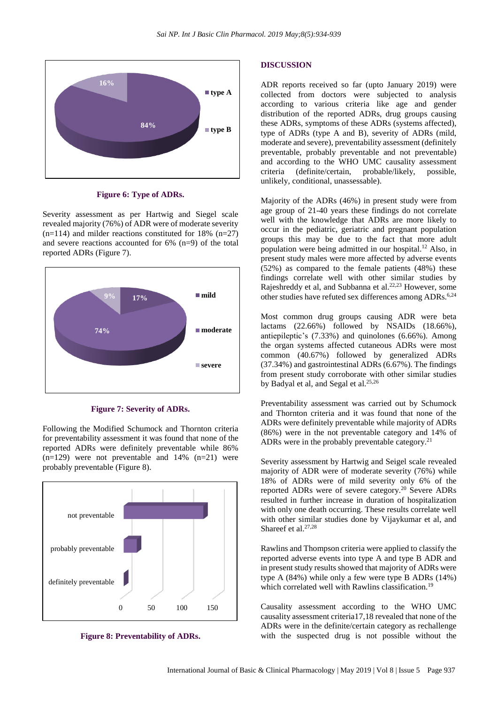

**Figure 6: Type of ADRs.**

Severity assessment as per Hartwig and Siegel scale revealed majority (76%) of ADR were of moderate severity  $(n=114)$  and milder reactions constituted for 18%  $(n=27)$ and severe reactions accounted for 6% (n=9) of the total reported ADRs (Figure 7).



**Figure 7: Severity of ADRs.**

Following the Modified Schumock and Thornton criteria for preventability assessment it was found that none of the reported ADRs were definitely preventable while 86%  $(n=129)$  were not preventable and  $14\%$   $(n=21)$  were probably preventable (Figure 8).



**Figure 8: Preventability of ADRs.**

#### **DISCUSSION**

ADR reports received so far (upto January 2019) were collected from doctors were subjected to analysis according to various criteria like age and gender distribution of the reported ADRs, drug groups causing these ADRs, symptoms of these ADRs (systems affected), type of ADRs (type A and B), severity of ADRs (mild, moderate and severe), preventability assessment (definitely preventable, probably preventable and not preventable) and according to the WHO UMC causality assessment criteria (definite/certain, probable/likely, possible, unlikely, conditional, unassessable).

Majority of the ADRs (46%) in present study were from age group of 21-40 years these findings do not correlate well with the knowledge that ADRs are more likely to occur in the pediatric, geriatric and pregnant population groups this may be due to the fact that more adult population were being admitted in our hospital.<sup>12</sup> Also, in present study males were more affected by adverse events (52%) as compared to the female patients (48%) these findings correlate well with other similar studies by Rajeshreddy et al, and Subbanna et al. 22,23 However, some other studies have refuted sex differences among ADRs. 6,24

Most common drug groups causing ADR were beta lactams (22.66%) followed by NSAIDs (18.66%), antiepileptic's (7.33%) and quinolones (6.66%). Among the organ systems affected cutaneous ADRs were most common (40.67%) followed by generalized ADRs (37.34%) and gastrointestinal ADRs (6.67%). The findings from present study corroborate with other similar studies by Badyal et al, and Segal et al.<sup>25,26</sup>

Preventability assessment was carried out by Schumock and Thornton criteria and it was found that none of the ADRs were definitely preventable while majority of ADRs (86%) were in the not preventable category and 14% of ADRs were in the probably preventable category.<sup>21</sup>

Severity assessment by Hartwig and Seigel scale revealed majority of ADR were of moderate severity (76%) while 18% of ADRs were of mild severity only 6% of the reported ADRs were of severe category.<sup>20</sup> Severe ADRs resulted in further increase in duration of hospitalization with only one death occurring. These results correlate well with other similar studies done by Vijaykumar et al, and Shareef et al. 27,28

Rawlins and Thompson criteria were applied to classify the reported adverse events into type A and type B ADR and in present study results showed that majority of ADRs were type A (84%) while only a few were type B ADRs (14%) which correlated well with Rawlins classification.<sup>19</sup>

Causality assessment according to the WHO UMC causality assessment criteria17,18 revealed that none of the ADRs were in the definite/certain category as rechallenge with the suspected drug is not possible without the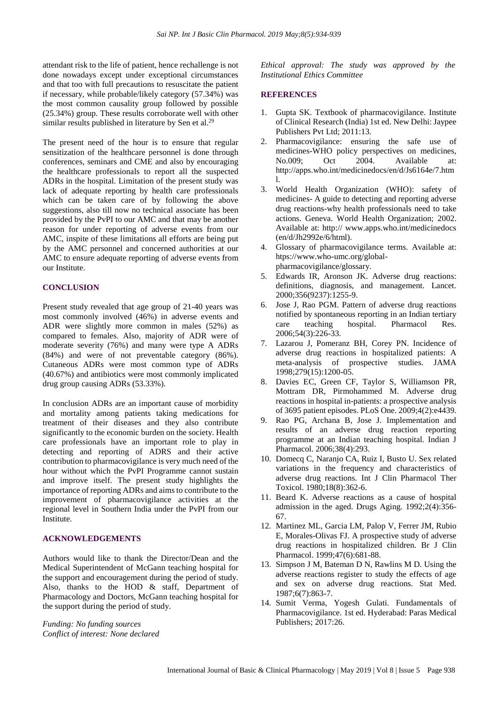attendant risk to the life of patient, hence rechallenge is not done nowadays except under exceptional circumstances and that too with full precautions to resuscitate the patient if necessary, while probable/likely category (57.34%) was the most common causality group followed by possible (25.34%) group. These results corroborate well with other similar results published in literature by Sen et al.<sup>29</sup>

The present need of the hour is to ensure that regular sensitization of the healthcare personnel is done through conferences, seminars and CME and also by encouraging the healthcare professionals to report all the suspected ADRs in the hospital. Limitation of the present study was lack of adequate reporting by health care professionals which can be taken care of by following the above suggestions, also till now no technical associate has been provided by the PvPI to our AMC and that may be another reason for under reporting of adverse events from our AMC, inspite of these limitations all efforts are being put by the AMC personnel and concerned authorities at our AMC to ensure adequate reporting of adverse events from our Institute.

#### **CONCLUSION**

Present study revealed that age group of 21-40 years was most commonly involved (46%) in adverse events and ADR were slightly more common in males (52%) as compared to females. Also, majority of ADR were of moderate severity (76%) and many were type A ADRs (84%) and were of not preventable category (86%). Cutaneous ADRs were most common type of ADRs (40.67%) and antibiotics were most commonly implicated drug group causing ADRs (53.33%).

In conclusion ADRs are an important cause of morbidity and mortality among patients taking medications for treatment of their diseases and they also contribute significantly to the economic burden on the society. Health care professionals have an important role to play in detecting and reporting of ADRS and their active contribution to pharmacovigilance is very much need of the hour without which the PvPI Programme cannot sustain and improve itself. The present study highlights the importance of reporting ADRs and aimsto contribute to the improvement of pharmacovigilance activities at the regional level in Southern India under the PvPI from our Institute.

# **ACKNOWLEDGEMENTS**

Authors would like to thank the Director/Dean and the Medical Superintendent of McGann teaching hospital for the support and encouragement during the period of study. Also, thanks to the HOD & staff, Department of Pharmacology and Doctors, McGann teaching hospital for the support during the period of study.

*Funding: No funding sources Conflict of interest: None declared* *Ethical approval: The study was approved by the Institutional Ethics Committee*

#### **REFERENCES**

- 1. Gupta SK. Textbook of pharmacovigilance. Institute of Clinical Research (India) 1st ed. New Delhi: Jaypee Publishers Pvt Ltd; 2011:13.
- 2. Pharmacovigilance: ensuring the safe use of medicines-WHO policy perspectives on medicines, No.009; Oct 2004. Available at: http://apps.who.int/medicinedocs/en/d/Js6164e/7.htm l.
- 3. World Health Organization (WHO): safety of medicines- A guide to detecting and reporting adverse drug reactions-why health professionals need to take actions. Geneva. World Health Organization; 2002. Available at: http:// www.apps.who.int/medicinedocs (en/d/Jh2992e/6/html).
- 4. Glossary of pharmacovigilance terms. Available at: htps://www.who-umc.org/globalpharmacovigilance/glossary.
- 5. Edwards IR, Aronson JK. Adverse drug reactions: definitions, diagnosis, and management. Lancet. 2000;356(9237):1255-9.
- 6. Jose J, Rao PGM. Pattern of adverse drug reactions notified by spontaneous reporting in an Indian tertiary care teaching hospital. Pharmacol Res. 2006;54(3):226-33.
- 7. Lazarou J, Pomeranz BH, Corey PN. Incidence of adverse drug reactions in hospitalized patients: A meta-analysis of prospective studies. JAMA 1998;279(15):1200-05.
- 8. Davies EC, Green CF, Taylor S, Williamson PR, Mottram DR, Pirmohammed M. Adverse drug reactions in hospital in-patients: a prospective analysis of 3695 patient episodes. PLoS One. 2009;4(2):e4439.
- 9. Rao PG, Archana B, Jose J. Implementation and results of an adverse drug reaction reporting programme at an Indian teaching hospital. Indian J Pharmacol. 2006;38(4):293.
- 10. Domecq C, Naranjo CA, Ruiz I, Busto U. Sex related variations in the frequency and characteristics of adverse drug reactions. Int J Clin Pharmacol Ther Toxicol. 1980;18(8):362-6.
- 11. Beard K. Adverse reactions as a cause of hospital admission in the aged. Drugs Aging. 1992;2(4):356- 67.
- 12. Martinez ML, Garcia LM, Palop V, Ferrer JM, Rubio E, Morales-Olivas FJ. A prospective study of adverse drug reactions in hospitalized children. Br J Clin Pharmacol. 1999;47(6):681-88.
- 13. Simpson J M, Bateman D N, Rawlins M D. Using the adverse reactions register to study the effects of age and sex on adverse drug reactions. Stat Med. 1987;6(7):863-7.
- 14. Sumit Verma, Yogesh Gulati. Fundamentals of Pharmacovigilance. 1st ed. Hyderabad: Paras Medical Publishers; 2017:26.